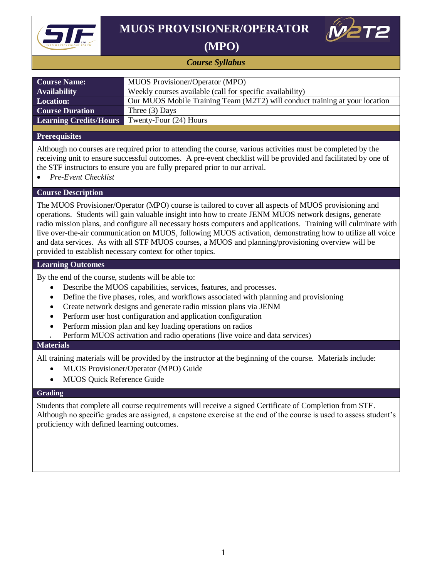

## **MUOS PROVISIONER/OPERATOR**



 **(MPO)**

### *Course Syllabus*

| <b>Course Name:</b>           | MUOS Provisioner/Operator (MPO)                                             |
|-------------------------------|-----------------------------------------------------------------------------|
| <b>Availability</b>           | Weekly courses available (call for specific availability)                   |
| <b>Location:</b>              | Our MUOS Mobile Training Team (M2T2) will conduct training at your location |
| <b>Course Duration</b>        | Three $(3)$ Days                                                            |
| <b>Learning Credits/Hours</b> | Twenty-Four (24) Hours                                                      |
|                               |                                                                             |

### **Prerequisites**

Although no courses are required prior to attending the course, various activities must be completed by the receiving unit to ensure successful outcomes. A pre-event checklist will be provided and facilitated by one of the STF instructors to ensure you are fully prepared prior to our arrival.

*Pre-Event Checklist*

### **Course Description**

The MUOS Provisioner/Operator (MPO) course is tailored to cover all aspects of MUOS provisioning and operations. Students will gain valuable insight into how to create JENM MUOS network designs, generate radio mission plans, and configure all necessary hosts computers and applications. Training will culminate with live over-the-air communication on MUOS, following MUOS activation, demonstrating how to utilize all voice and data services. As with all STF MUOS courses, a MUOS and planning/provisioning overview will be provided to establish necessary context for other topics.

### **Learning Outcomes**

By the end of the course, students will be able to:

- Describe the MUOS capabilities, services, features, and processes.
- Define the five phases, roles, and workflows associated with planning and provisioning
- Create network designs and generate radio mission plans via JENM
- Perform user host configuration and application configuration
- Perform mission plan and key loading operations on radios
- Perform MUOS activation and radio operations (live voice and data services)

### **Materials**

All training materials will be provided by the instructor at the beginning of the course. Materials include:

- MUOS Provisioner/Operator (MPO) Guide
- MUOS Quick Reference Guide

#### **Grading**

Students that complete all course requirements will receive a signed Certificate of Completion from STF. Although no specific grades are assigned, a capstone exercise at the end of the course is used to assess student's proficiency with defined learning outcomes.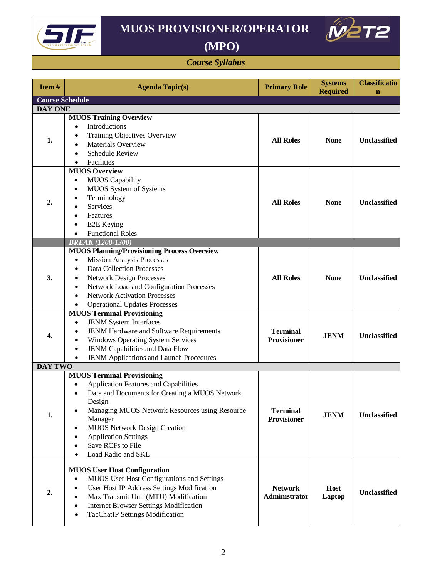

# **MUOS PROVISIONER/OPERATOR**



## **(MPO)**

### *Course Syllabus*

| Item#                  | <b>Agenda Topic(s)</b>                                                                                                                                                                                                                                                                                                                                                            | <b>Primary Role</b>                   | <b>Systems</b><br><b>Required</b> | <b>Classificatio</b><br>$\mathbf n$ |  |  |
|------------------------|-----------------------------------------------------------------------------------------------------------------------------------------------------------------------------------------------------------------------------------------------------------------------------------------------------------------------------------------------------------------------------------|---------------------------------------|-----------------------------------|-------------------------------------|--|--|
| <b>Course Schedule</b> |                                                                                                                                                                                                                                                                                                                                                                                   |                                       |                                   |                                     |  |  |
| <b>DAY ONE</b>         |                                                                                                                                                                                                                                                                                                                                                                                   |                                       |                                   |                                     |  |  |
| 1.                     | <b>MUOS Training Overview</b><br>Introductions<br>Training Objectives Overview<br>Materials Overview<br><b>Schedule Review</b><br>Facilities                                                                                                                                                                                                                                      | <b>All Roles</b>                      | <b>None</b>                       | <b>Unclassified</b>                 |  |  |
|                        | <b>MUOS Overview</b>                                                                                                                                                                                                                                                                                                                                                              |                                       |                                   |                                     |  |  |
| 2.                     | <b>MUOS</b> Capability<br>$\bullet$<br>MUOS System of Systems<br>٠<br>Terminology<br>$\bullet$<br><b>Services</b><br>Features<br>E2E Keying<br>$\bullet$<br><b>Functional Roles</b><br>$\bullet$                                                                                                                                                                                  | <b>All Roles</b>                      | <b>None</b>                       | <b>Unclassified</b>                 |  |  |
|                        | <b>BREAK (1200-1300)</b>                                                                                                                                                                                                                                                                                                                                                          |                                       |                                   |                                     |  |  |
| 3.                     | <b>MUOS Planning/Provisioning Process Overview</b><br>Mission Analysis Processes<br>$\bullet$<br><b>Data Collection Processes</b><br>٠<br><b>Network Design Processes</b><br>$\bullet$<br>Network Load and Configuration Processes<br>$\bullet$<br><b>Network Activation Processes</b><br>$\bullet$<br><b>Operational Updates Processes</b><br>$\bullet$                          | <b>All Roles</b>                      | <b>None</b>                       | <b>Unclassified</b>                 |  |  |
| 4.                     | <b>MUOS Terminal Provisioning</b><br><b>JENM System Interfaces</b><br>$\bullet$<br>JENM Hardware and Software Requirements<br>٠<br><b>Windows Operating System Services</b><br>$\bullet$<br>JENM Capabilities and Data Flow<br>$\bullet$<br>JENM Applications and Launch Procedures                                                                                               | <b>Terminal</b><br><b>Provisioner</b> | <b>JENM</b>                       | <b>Unclassified</b>                 |  |  |
| <b>DAY TWO</b>         |                                                                                                                                                                                                                                                                                                                                                                                   |                                       |                                   |                                     |  |  |
| 1.                     | <b>MUOS Terminal Provisioning</b><br><b>Application Features and Capabilities</b><br>٠<br>Data and Documents for Creating a MUOS Network<br>Design<br>Managing MUOS Network Resources using Resource<br>$\bullet$<br>Manager<br><b>MUOS Network Design Creation</b><br>٠<br><b>Application Settings</b><br>٠<br>Save RCFs to File<br>$\bullet$<br>Load Radio and SKL<br>$\bullet$ | <b>Terminal</b><br><b>Provisioner</b> | <b>JENM</b>                       | Unclassified                        |  |  |
| 2.                     | <b>MUOS User Host Configuration</b><br>MUOS User Host Configurations and Settings<br>$\bullet$<br>User Host IP Address Settings Modification<br>$\bullet$<br>Max Transmit Unit (MTU) Modification<br>$\bullet$<br><b>Internet Browser Settings Modification</b><br>$\bullet$<br><b>TacChatIP Settings Modification</b><br>٠                                                       | <b>Network</b><br>Administrator       | Host<br>Laptop                    | <b>Unclassified</b>                 |  |  |